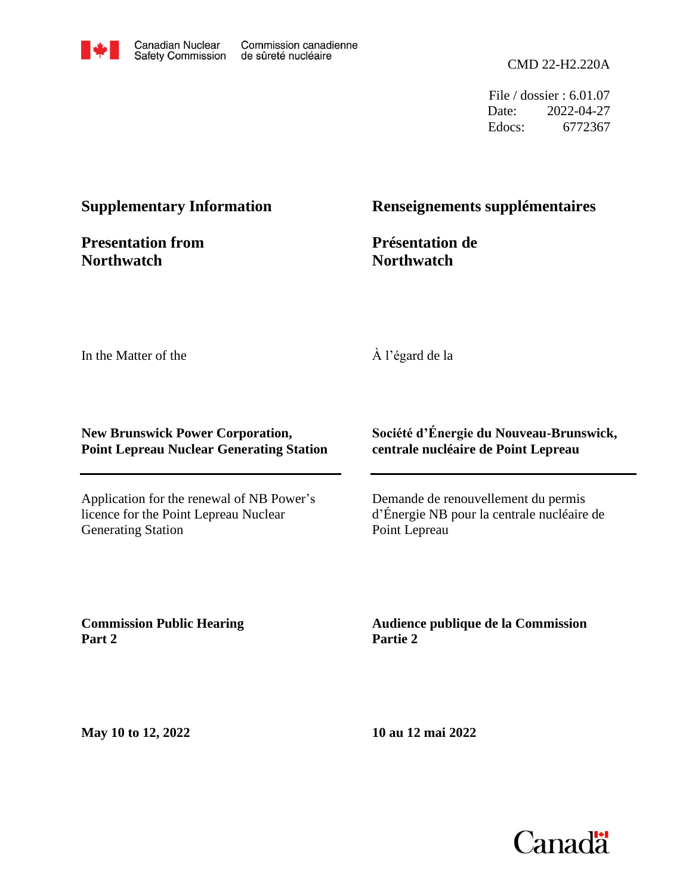

CMD 22-H2.220A

File / dossier : 6.01.07 Date: 2022-04-27 Edocs: 6772367

### **Supplementary Information**

**Presentation from Northwatch**

## **Renseignements supplémentaires**

**Présentation de Northwatch**

In the Matter of the

À l'égard de la

#### **New Brunswick Power Corporation, Point Lepreau Nuclear Generating Station**

Application for the renewal of NB Power's licence for the Point Lepreau Nuclear Generating Station

#### **Société d'Énergie du Nouveau-Brunswick, centrale nucléaire de Point Lepreau**

Demande de renouvellement du permis d'Énergie NB pour la centrale nucléaire de Point Lepreau

**Commission Public Hearing Part 2**

**Audience publique de la Commission Partie 2**

**May 10 to 12, 2022**

**10 au 12 mai 2022**

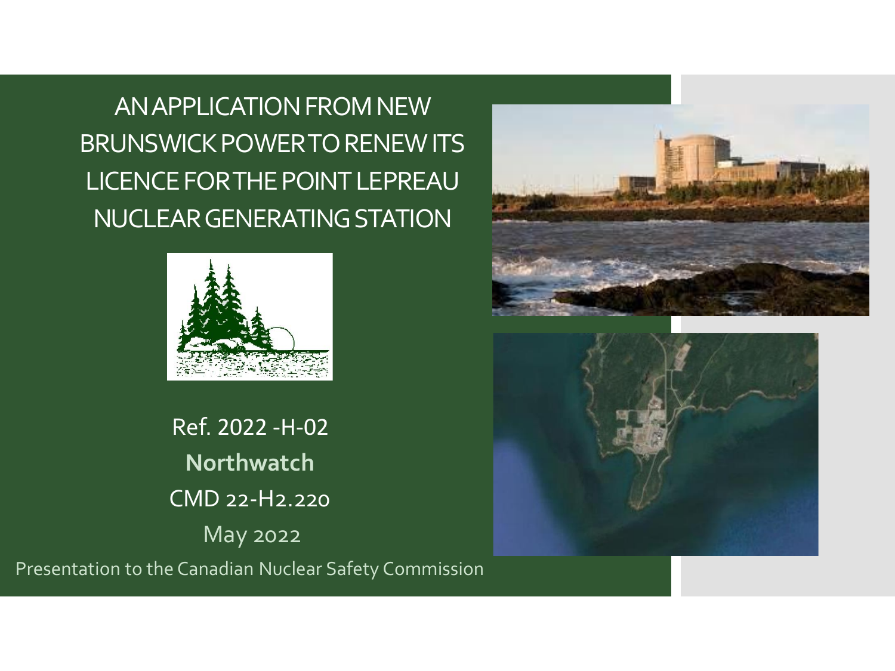AN APPLICATION FROM NEW BRUNSWICK POWER TO RENEW ITS LICENCE FOR THE POINT LEPREAU NUCLEAR GENERATING STATION



Ref. 2022 -H-02 **Northwatch** CMD 22-H2.220 May 2022





Presentation to the Canadian Nuclear Safety Commission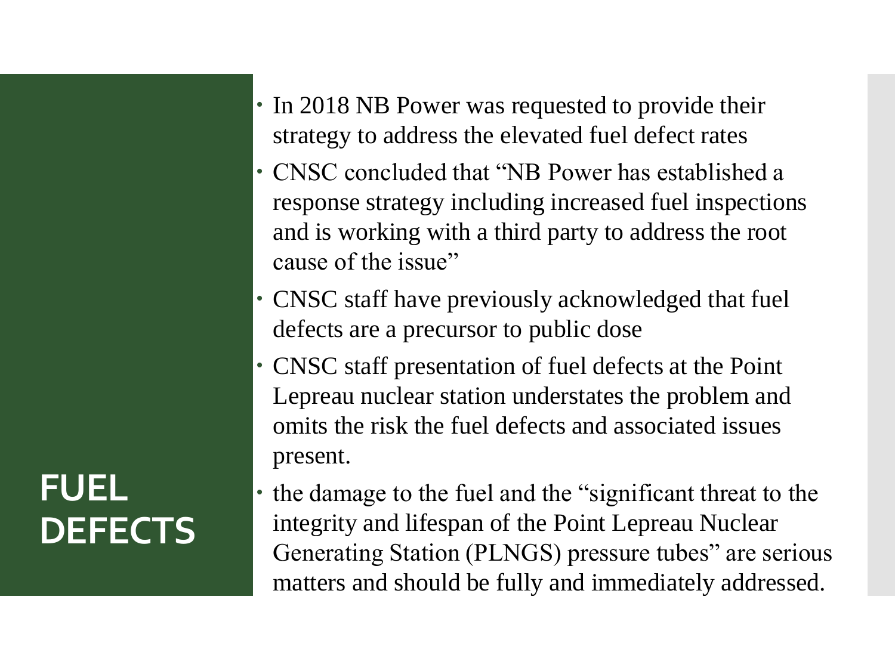- In 2018 NB Power was requested to provide their strategy to address the elevated fuel defect rates
- CNSC concluded that "NB Power has established a response strategy including increased fuel inspections and is working with a third party to address the root cause of the issue"
- CNSC staff have previously acknowledged that fuel defects are a precursor to public dose
- CNSC staff presentation of fuel defects at the Point Lepreau nuclear station understates the problem and omits the risk the fuel defects and associated issues present.
- the damage to the fuel and the "significant threat to the integrity and lifespan of the Point Lepreau Nuclear Generating Station (PLNGS) pressure tubes" are serious matters and should be fully and immediately addressed.

# **FUEL DEFECTS**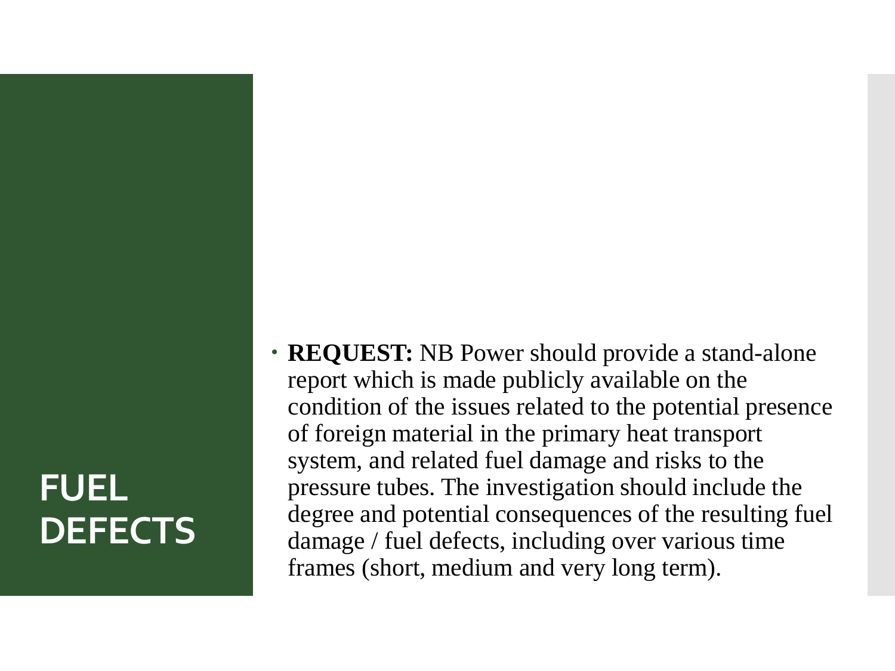# **FUEL DEFECTS**

• **REQUEST:** NB Power should provide a stand-alone report which is made publicly available on the condition of the issues related to the potential presence of foreign material in the primary heat transport system, and related fuel damage and risks to the pressure tubes. The investigation should include the degree and potential consequences of the resulting fuel damage / fuel defects, including over various time frames (short, medium and very long term).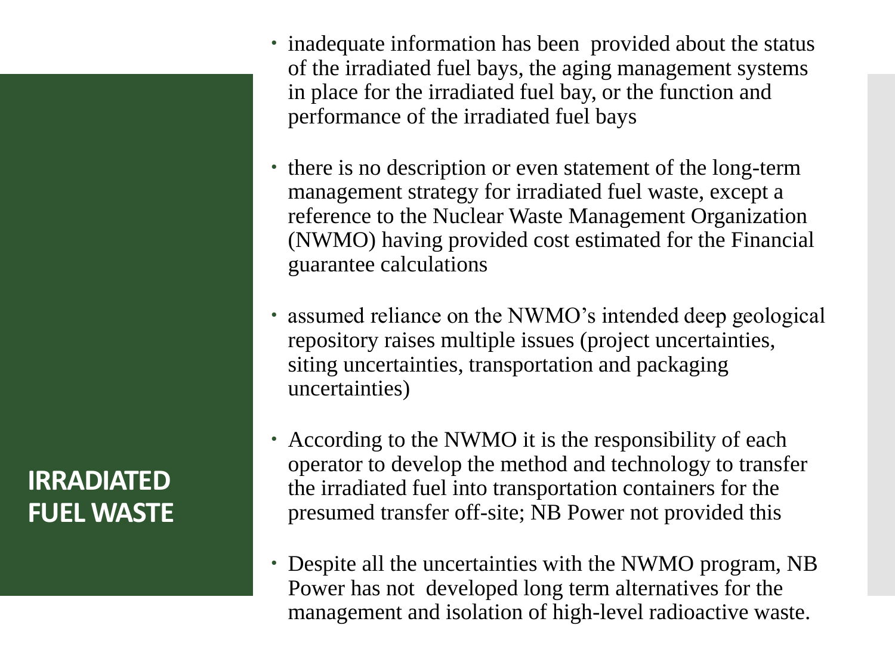**IRRADIATED FUEL WASTE**

- inadequate information has been provided about the status of the irradiated fuel bays, the aging management systems in place for the irradiated fuel bay, or the function and performance of the irradiated fuel bays
- there is no description or even statement of the long-term management strategy for irradiated fuel waste, except a reference to the Nuclear Waste Management Organization (NWMO) having provided cost estimated for the Financial guarantee calculations
- assumed reliance on the NWMO's intended deep geological repository raises multiple issues (project uncertainties, siting uncertainties, transportation and packaging uncertainties)
- According to the NWMO it is the responsibility of each operator to develop the method and technology to transfer the irradiated fuel into transportation containers for the presumed transfer off-site; NB Power not provided this
- Despite all the uncertainties with the NWMO program, NB Power has not developed long term alternatives for the management and isolation of high-level radioactive waste.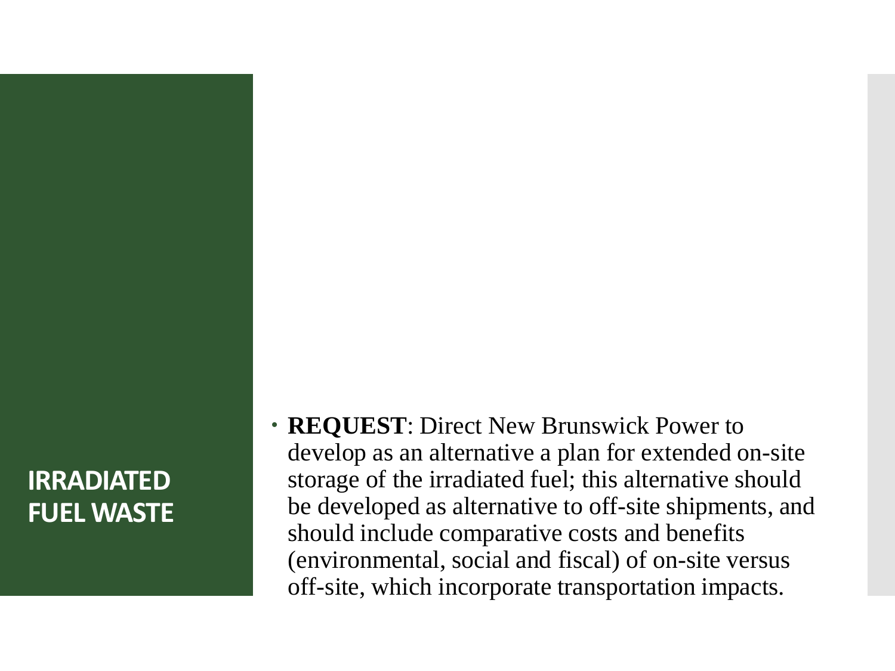## **IRRADIATED FUEL WASTE**

 **REQUEST**: Direct New Brunswick Power to develop as an alternative a plan for extended on-site storage of the irradiated fuel; this alternative should be developed as alternative to off-site shipments, and should include comparative costs and benefits (environmental, social and fiscal) of on-site versus off-site, which incorporate transportation impacts.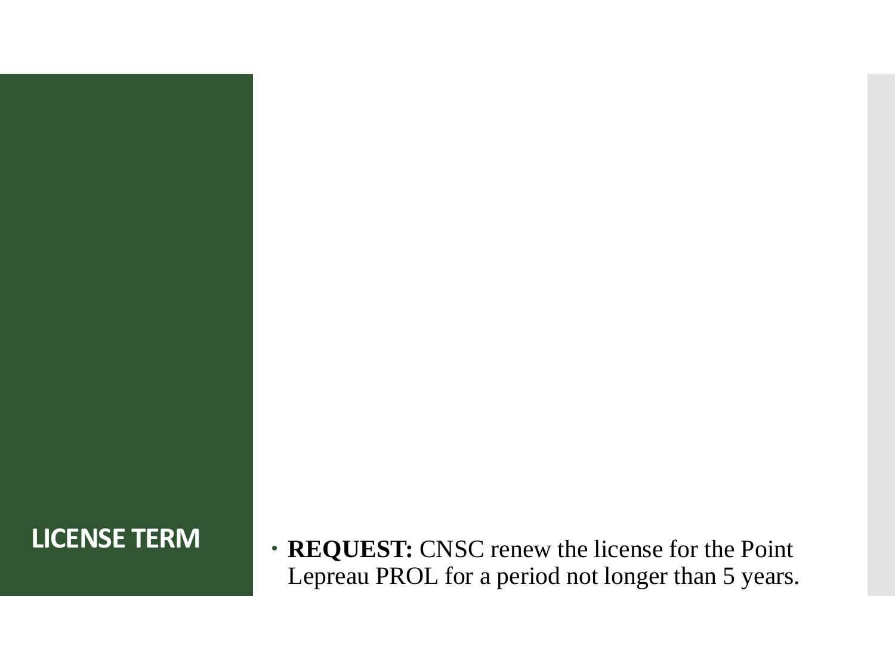**LICENSE TERM REQUEST:** CNSC renew the license for the Point Lepreau PROL for a period not longer than 5 years.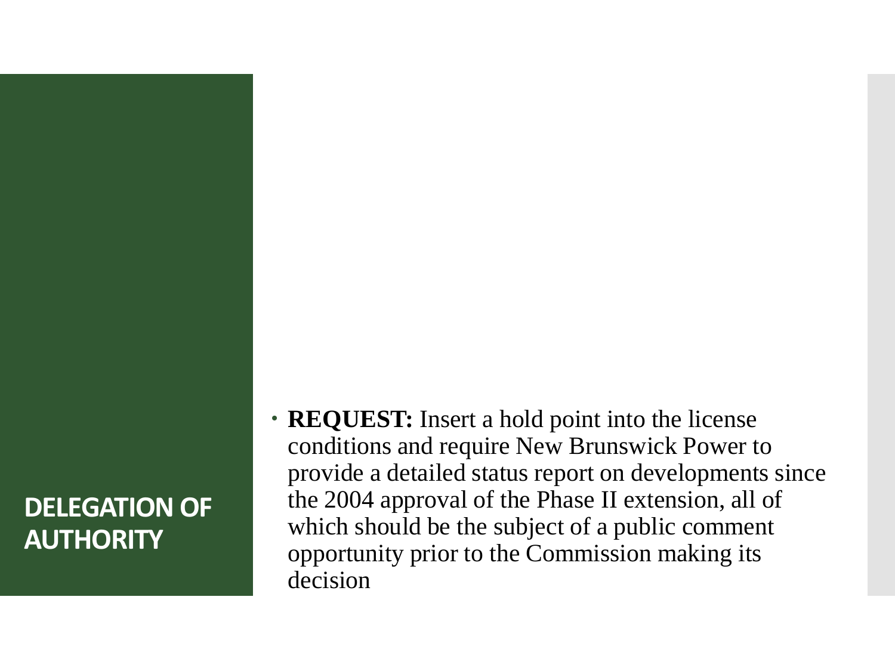## **DELEGATION OF AUTHORITY**

 **REQUEST:** Insert a hold point into the license conditions and require New Brunswick Power to provide a detailed status report on developments since the 2004 approval of the Phase II extension, all of which should be the subject of a public comment opportunity prior to the Commission making its decision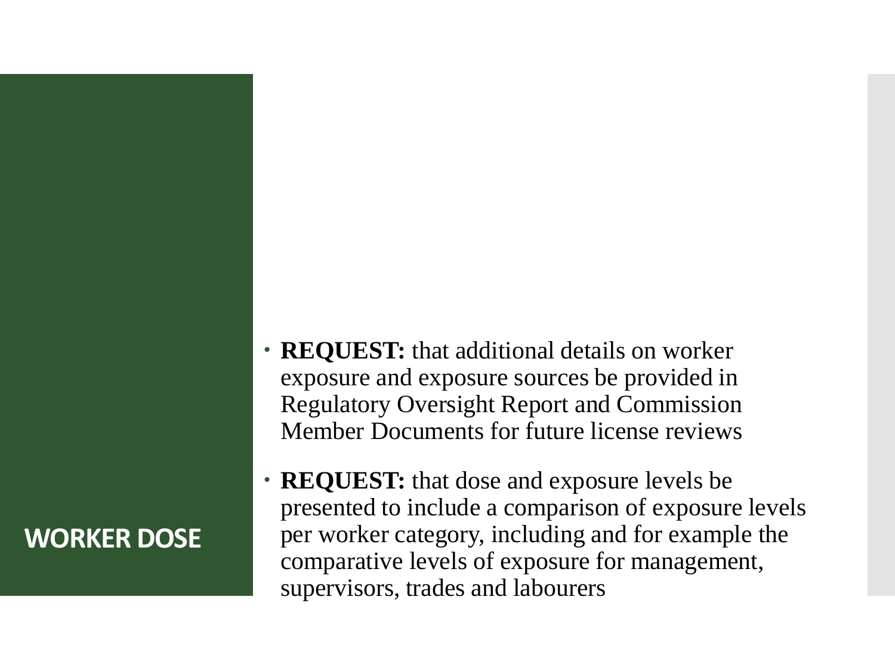## **WORKER DOSE**

- **REQUEST:** that additional details on worker exposure and exposure sources be provided in Regulatory Oversight Report and Commission Member Documents for future license reviews
- **REQUEST:** that dose and exposure levels be presented to include a comparison of exposure levels per worker category, including and for example the comparative levels of exposure for management, supervisors, trades and labourers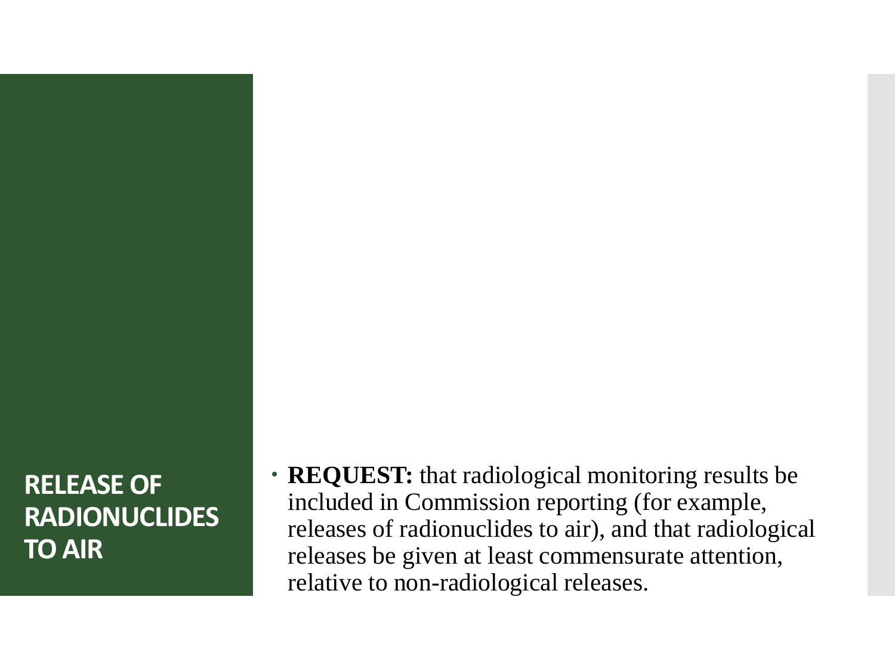**RELEASE OF RADIONUCLIDES TO AIR**

• **REQUEST:** that radiological monitoring results be included in Commission reporting (for example, releases of radionuclides to air), and that radiological releases be given at least commensurate attention, relative to non-radiological releases.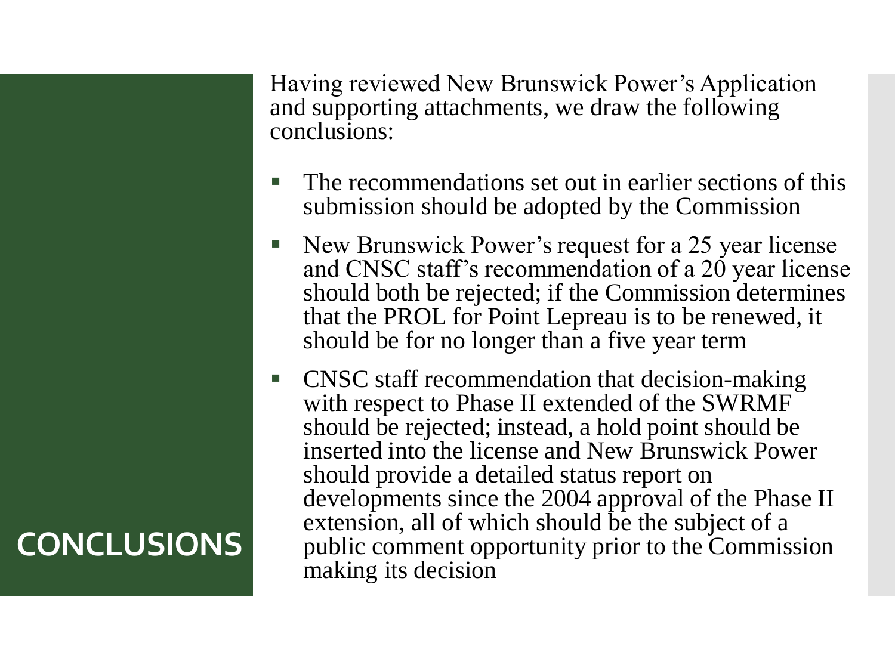Having reviewed New Brunswick Power's Application and supporting attachments, we draw the following conclusions:

- The recommendations set out in earlier sections of this submission should be adopted by the Commission
- New Brunswick Power's request for a 25 year license and CNSC staff's recommendation of a 20 year license should both be rejected; if the Commission determines that the PROL for Point Lepreau is to be renewed, it should be for no longer than a five year term
- **CNSC** staff recommendation that decision-making with respect to Phase II extended of the SWRMF should be rejected; instead, a hold point should be inserted into the license and New Brunswick Power should provide a detailed status report on developments since the 2004 approval of the Phase II extension, all of which should be the subject of a public comment opportunity prior to the Commission making its decision

# **CONCLUSIONS**